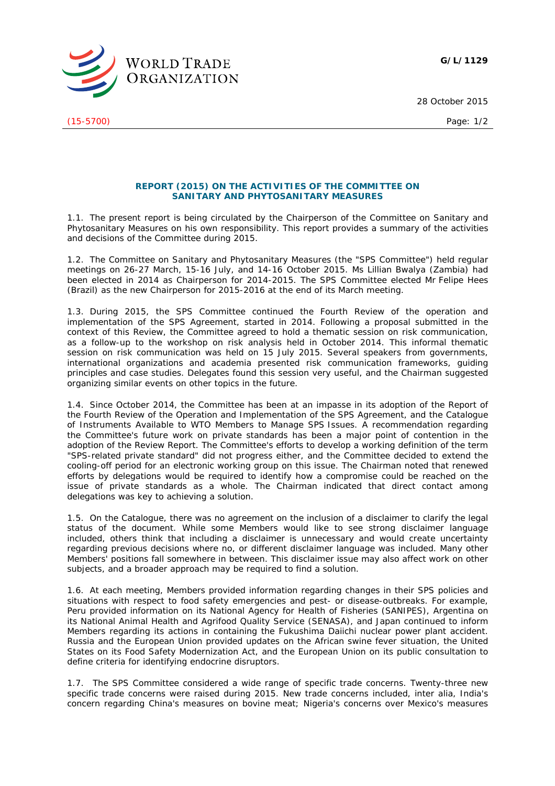**G/L/1129**



(15-5700) Page: 1/2

28 October 2015

## **REPORT (2015) ON THE ACTIVITIES OF THE COMMITTEE ON SANITARY AND PHYTOSANITARY MEASURES**

1.1. The present report is being circulated by the Chairperson of the Committee on Sanitary and Phytosanitary Measures on his own responsibility. This report provides a summary of the activities and decisions of the Committee during 2015.

1.2. The Committee on Sanitary and Phytosanitary Measures (the "SPS Committee") held regular meetings on 26-27 March, 15-16 July, and 14-16 October 2015. Ms Lillian Bwalya (Zambia) had been elected in 2014 as Chairperson for 2014-2015. The SPS Committee elected Mr Felipe Hees (Brazil) as the new Chairperson for 2015-2016 at the end of its March meeting.

1.3. During 2015, the SPS Committee continued the Fourth Review of the operation and implementation of the SPS Agreement, started in 2014. Following a proposal submitted in the context of this Review, the Committee agreed to hold a thematic session on risk communication, as a follow-up to the workshop on risk analysis held in October 2014. This informal thematic session on risk communication was held on 15 July 2015. Several speakers from governments, international organizations and academia presented risk communication frameworks, guiding principles and case studies. Delegates found this session very useful, and the Chairman suggested organizing similar events on other topics in the future.

1.4. Since October 2014, the Committee has been at an impasse in its adoption of the Report of the Fourth Review of the Operation and Implementation of the SPS Agreement, and the Catalogue of Instruments Available to WTO Members to Manage SPS Issues. A recommendation regarding the Committee's future work on private standards has been a major point of contention in the adoption of the Review Report. The Committee's efforts to develop a working definition of the term "SPS-related private standard" did not progress either, and the Committee decided to extend the cooling-off period for an electronic working group on this issue. The Chairman noted that renewed efforts by delegations would be required to identify how a compromise could be reached on the issue of private standards as a whole. The Chairman indicated that direct contact among delegations was key to achieving a solution.

1.5. On the Catalogue, there was no agreement on the inclusion of a disclaimer to clarify the legal status of the document. While some Members would like to see strong disclaimer language included, others think that including a disclaimer is unnecessary and would create uncertainty regarding previous decisions where no, or different disclaimer language was included. Many other Members' positions fall somewhere in between. This disclaimer issue may also affect work on other subjects, and a broader approach may be required to find a solution.

1.6. At each meeting, Members provided information regarding changes in their SPS policies and situations with respect to food safety emergencies and pest- or disease-outbreaks. For example, Peru provided information on its National Agency for Health of Fisheries (SANIPES), Argentina on its National Animal Health and Agrifood Quality Service (SENASA), and Japan continued to inform Members regarding its actions in containing the Fukushima Daiichi nuclear power plant accident. Russia and the European Union provided updates on the African swine fever situation, the United States on its Food Safety Modernization Act, and the European Union on its public consultation to define criteria for identifying endocrine disruptors.

1.7. The SPS Committee considered a wide range of specific trade concerns. Twenty-three new specific trade concerns were raised during 2015. New trade concerns included, *inter alia*, India's concern regarding China's measures on bovine meat; Nigeria's concerns over Mexico's measures